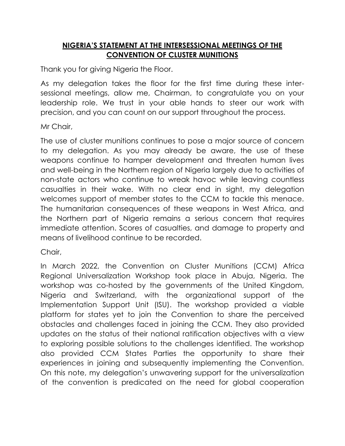## **NIGERIA'S STATEMENT AT THE INTERSESSIONAL MEETINGS OF THE CONVENTION OF CLUSTER MUNITIONS**

Thank you for giving Nigeria the Floor.

As my delegation takes the floor for the first time during these intersessional meetings, allow me, Chairman, to congratulate you on your leadership role. We trust in your able hands to steer our work with precision, and you can count on our support throughout the process.

Mr Chair,

The use of cluster munitions continues to pose a major source of concern to my delegation. As you may already be aware, the use of these weapons continue to hamper development and threaten human lives and well-being in the Northern region of Nigeria largely due to activities of non-state actors who continue to wreak havoc while leaving countless casualties in their wake. With no clear end in sight, my delegation welcomes support of member states to the CCM to tackle this menace. The humanitarian consequences of these weapons in West Africa, and the Northern part of Nigeria remains a serious concern that requires immediate attention. Scores of casualties, and damage to property and means of livelihood continue to be recorded.

Chair,

In March 2022, the Convention on Cluster Munitions (CCM) Africa Regional Universalization Workshop took place in Abuja, Nigeria. The workshop was co-hosted by the governments of the United Kingdom, Nigeria and Switzerland, with the organizational support of the Implementation Support Unit (ISU). The workshop provided a viable platform for states yet to join the Convention to share the perceived obstacles and challenges faced in joining the CCM. They also provided updates on the status of their national ratification objectives with a view to exploring possible solutions to the challenges identified. The workshop also provided CCM States Parties the opportunity to share their experiences in joining and subsequently implementing the Convention. On this note, my delegation's unwavering support for the universalization of the convention is predicated on the need for global cooperation